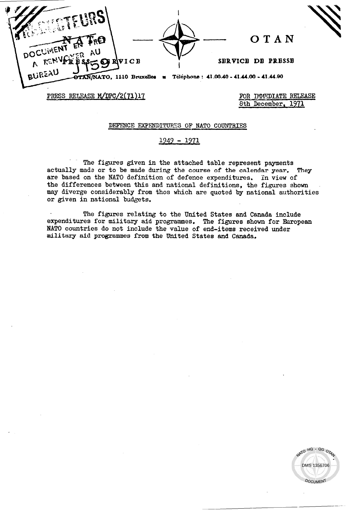**OTAN** ะฉ VICB SERVICE DE PRESSE R R BUREAU Téléphone: 41.00.40 - 41.44.00 - 41.44.90 OTAN/NATO, 1110 Bruxelles PRESS RELEASE M/DPC/2(71)17

FOR IMMEDIATE RELEASE 8th December. 1971

## DEFENCE EXPENDITURES OF NATO COUNTRIES

## 1949 - 1971

The figures given in the attached table represent payments actually made or to be made during the course of the calendar year. They are based on the NATO definition of defence expenditures. In view of the differences between this and national definitions, the figures shown may diverge considerably from thos which are quoted by national authorities or given in national budgets.

The figures relating to the United States and Canada include expenditures for military aid programmes. The figures shown for European NATO countries do not include the value of end-items received under military aid programmes from the United States and Canada.